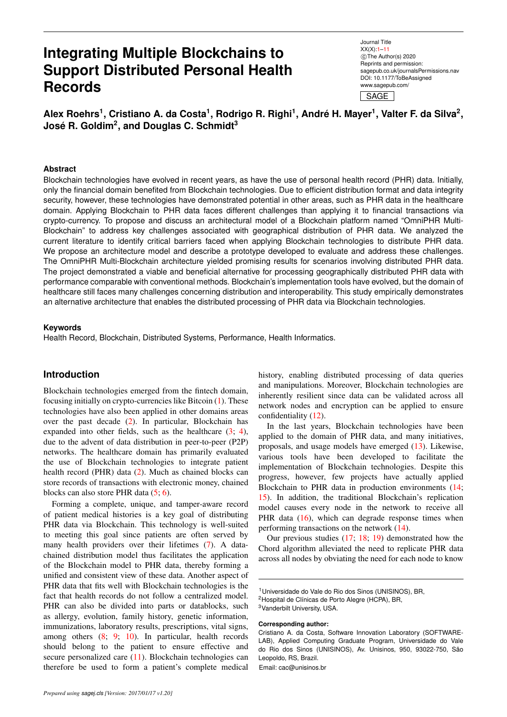# **Integrating Multiple Blockchains to Support Distributed Personal Health Records**

Journal Title XX(X)[:1–](#page-0-0)[11](#page-8-0) c The Author(s) 2020 Reprints and permission: sagepub.co.uk/journalsPermissions.nav DOI: 10.1177/ToBeAssigned www.sagepub.com/ SAGE

**Alex Roehrs<sup>1</sup> , Cristiano A. da Costa<sup>1</sup> , Rodrigo R. Righi<sup>1</sup> , Andre H. Mayer ´ 1 , Valter F. da Silva<sup>2</sup> , José R. Goldim** $^2$ **, and Douglas C. Schmidt** $^3$ 

#### <span id="page-0-0"></span>**Abstract**

Blockchain technologies have evolved in recent years, as have the use of personal health record (PHR) data. Initially, only the financial domain benefited from Blockchain technologies. Due to efficient distribution format and data integrity security, however, these technologies have demonstrated potential in other areas, such as PHR data in the healthcare domain. Applying Blockchain to PHR data faces different challenges than applying it to financial transactions via crypto-currency. To propose and discuss an architectural model of a Blockchain platform named "OmniPHR Multi-Blockchain" to address key challenges associated with geographical distribution of PHR data. We analyzed the current literature to identify critical barriers faced when applying Blockchain technologies to distribute PHR data. We propose an architecture model and describe a prototype developed to evaluate and address these challenges. The OmniPHR Multi-Blockchain architecture yielded promising results for scenarios involving distributed PHR data. The project demonstrated a viable and beneficial alternative for processing geographically distributed PHR data with performance comparable with conventional methods. Blockchain's implementation tools have evolved, but the domain of healthcare still faces many challenges concerning distribution and interoperability. This study empirically demonstrates an alternative architecture that enables the distributed processing of PHR data via Blockchain technologies.

#### **Keywords**

Health Record, Blockchain, Distributed Systems, Performance, Health Informatics.

### **Introduction**

Blockchain technologies emerged from the fintech domain, focusing initially on crypto-currencies like Bitcoin [\(1\)](#page-8-1). These technologies have also been applied in other domains areas over the past decade [\(2\)](#page-8-2). In particular, Blockchain has expanded into other fields, such as the healthcare  $(3, 4)$  $(3, 4)$ , due to the advent of data distribution in peer-to-peer (P2P) networks. The healthcare domain has primarily evaluated the use of Blockchain technologies to integrate patient health record (PHR) data [\(2\)](#page-8-2). Much as chained blocks can store records of transactions with electronic money, chained blocks can also store PHR data [\(5;](#page-8-5) [6\)](#page-8-6).

Forming a complete, unique, and tamper-aware record of patient medical histories is a key goal of distributing PHR data via Blockchain. This technology is well-suited to meeting this goal since patients are often served by many health providers over their lifetimes [\(7\)](#page-8-7). A datachained distribution model thus facilitates the application of the Blockchain model to PHR data, thereby forming a unified and consistent view of these data. Another aspect of PHR data that fits well with Blockchain technologies is the fact that health records do not follow a centralized model. PHR can also be divided into parts or datablocks, such as allergy, evolution, family history, genetic information, immunizations, laboratory results, prescriptions, vital signs, among others [\(8;](#page-8-8) [9;](#page-8-9) [10\)](#page-8-10). In particular, health records should belong to the patient to ensure effective and secure personalized care [\(11\)](#page-9-0). Blockchain technologies can therefore be used to form a patient's complete medical

history, enabling distributed processing of data queries and manipulations. Moreover, Blockchain technologies are inherently resilient since data can be validated across all network nodes and encryption can be applied to ensure confidentiality [\(12\)](#page-9-1).

In the last years, Blockchain technologies have been applied to the domain of PHR data, and many initiatives, proposals, and usage models have emerged [\(13\)](#page-9-2). Likewise, various tools have been developed to facilitate the implementation of Blockchain technologies. Despite this progress, however, few projects have actually applied Blockchain to PHR data in production environments [\(14;](#page-9-3) [15\)](#page-9-4). In addition, the traditional Blockchain's replication model causes every node in the network to receive all PHR data [\(16\)](#page-9-5), which can degrade response times when performing transactions on the network [\(14\)](#page-9-3).

Our previous studies [\(17;](#page-9-6) [18;](#page-9-7) [19\)](#page-9-8) demonstrated how the Chord algorithm alleviated the need to replicate PHR data across all nodes by obviating the need for each node to know

<sup>3</sup>Vanderbilt University, USA.

**Corresponding author:**

Email: cac@unisinos.br

<sup>&</sup>lt;sup>1</sup> Universidade do Vale do Rio dos Sinos (UNISINOS), BR,

<sup>&</sup>lt;sup>2</sup> Hospital de Clínicas de Porto Alegre (HCPA), BR,

Cristiano A. da Costa, Software Innovation Laboratory (SOFTWARE-LAB), Applied Computing Graduate Program, Universidade do Vale do Rio dos Sinos (UNISINOS), Av. Unisinos, 950, 93022-750, São Leopoldo, RS, Brazil.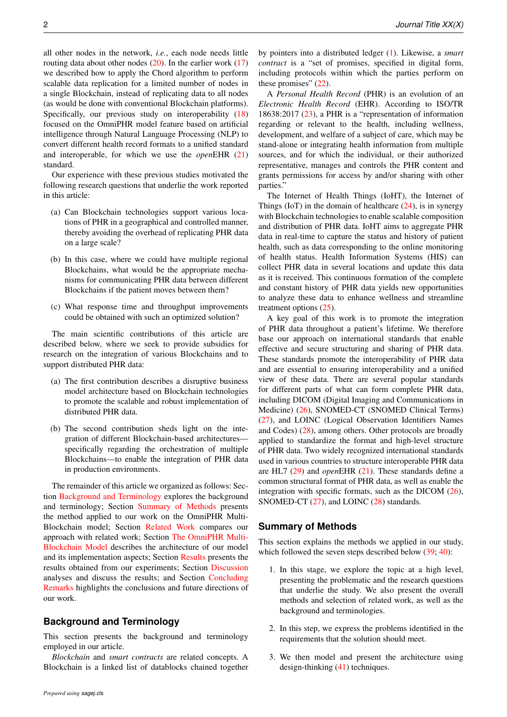all other nodes in the network, *i.e.*, each node needs little routing data about other nodes  $(20)$ . In the earlier work  $(17)$ we described how to apply the Chord algorithm to perform scalable data replication for a limited number of nodes in a single Blockchain, instead of replicating data to all nodes (as would be done with conventional Blockchain platforms). Specifically, our previous study on interoperability [\(18\)](#page-9-7) focused on the OmniPHR model feature based on artificial intelligence through Natural Language Processing (NLP) to convert different health record formats to a unified standard and interoperable, for which we use the *open*EHR [\(21\)](#page-9-10) standard.

Our experience with these previous studies motivated the following research questions that underlie the work reported in this article:

- (a) Can Blockchain technologies support various locations of PHR in a geographical and controlled manner, thereby avoiding the overhead of replicating PHR data on a large scale?
- (b) In this case, where we could have multiple regional Blockchains, what would be the appropriate mechanisms for communicating PHR data between different Blockchains if the patient moves between them?
- (c) What response time and throughput improvements could be obtained with such an optimized solution?

The main scientific contributions of this article are described below, where we seek to provide subsidies for research on the integration of various Blockchains and to support distributed PHR data:

- (a) The first contribution describes a disruptive business model architecture based on Blockchain technologies to promote the scalable and robust implementation of distributed PHR data.
- (b) The second contribution sheds light on the integration of different Blockchain-based architectures specifically regarding the orchestration of multiple Blockchains—to enable the integration of PHR data in production environments.

The remainder of this article we organized as follows: Section [Background and Terminology](#page-1-0) explores the background and terminology; Section [Summary of Methods](#page-1-1) presents the method applied to our work on the OmniPHR Multi-Blockchain model; Section [Related Work](#page-2-0) compares our approach with related work; Section [The OmniPHR Multi-](#page-2-1)[Blockchain Model](#page-2-1) describes the architecture of our model and its implementation aspects; Section [Results](#page-5-0) presents the results obtained from our experiments; Section [Discussion](#page-7-0) analyses and discuss the results; and Section [Concluding](#page-8-11) [Remarks](#page-8-11) highlights the conclusions and future directions of our work.

## <span id="page-1-0"></span>**Background and Terminology**

This section presents the background and terminology employed in our article.

*Blockchain* and *smart contracts* are related concepts. A Blockchain is a linked list of datablocks chained together by pointers into a distributed ledger [\(1\)](#page-8-1). Likewise, a *smart contract* is a "set of promises, specified in digital form, including protocols within which the parties perform on these promises" [\(22\)](#page-9-11).

A *Personal Health Record* (PHR) is an evolution of an *Electronic Health Record* (EHR). According to ISO/TR 18638:2017 [\(23\)](#page-9-12), a PHR is a "representation of information regarding or relevant to the health, including wellness, development, and welfare of a subject of care, which may be stand-alone or integrating health information from multiple sources, and for which the individual, or their authorized representative, manages and controls the PHR content and grants permissions for access by and/or sharing with other parties."

The Internet of Health Things (IoHT), the Internet of Things (IoT) in the domain of healthcare  $(24)$ , is in synergy with Blockchain technologies to enable scalable composition and distribution of PHR data. IoHT aims to aggregate PHR data in real-time to capture the status and history of patient health, such as data corresponding to the online monitoring of health status. Health Information Systems (HIS) can collect PHR data in several locations and update this data as it is received. This continuous formation of the complete and constant history of PHR data yields new opportunities to analyze these data to enhance wellness and streamline treatment options [\(25\)](#page-9-14).

A key goal of this work is to promote the integration of PHR data throughout a patient's lifetime. We therefore base our approach on international standards that enable effective and secure structuring and sharing of PHR data. These standards promote the interoperability of PHR data and are essential to ensuring interoperability and a unified view of these data. There are several popular standards for different parts of what can form complete PHR data, including DICOM (Digital Imaging and Communications in Medicine) [\(26\)](#page-9-15), SNOMED-CT (SNOMED Clinical Terms) [\(27\)](#page-9-16), and LOINC (Logical Observation Identifiers Names and Codes) [\(28\)](#page-9-17), among others. Other protocols are broadly applied to standardize the format and high-level structure of PHR data. Two widely recognized international standards used in various countries to structure interoperable PHR data are HL7 [\(29\)](#page-9-18) and *open*EHR [\(21\)](#page-9-10). These standards define a common structural format of PHR data, as well as enable the integration with specific formats, such as the DICOM [\(26\)](#page-9-15), SNOMED-CT [\(27\)](#page-9-16), and LOINC [\(28\)](#page-9-17) standards.

## <span id="page-1-1"></span>**Summary of Methods**

This section explains the methods we applied in our study, which followed the seven steps described below  $(39; 40)$  $(39; 40)$  $(39; 40)$ :

- 1. In this stage, we explore the topic at a high level, presenting the problematic and the research questions that underlie the study. We also present the overall methods and selection of related work, as well as the background and terminologies.
- 2. In this step, we express the problems identified in the requirements that the solution should meet.
- 3. We then model and present the architecture using design-thinking [\(41\)](#page-9-21) techniques.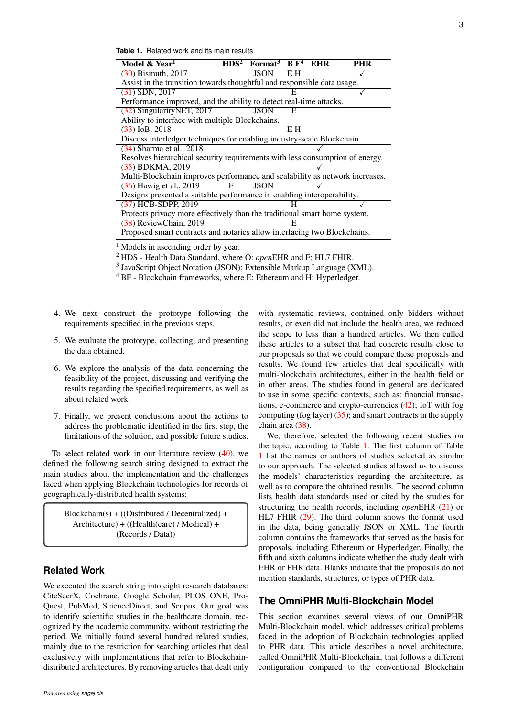<span id="page-2-2"></span>**Table 1.** Related work and its main results

| Model & Year <sup>1</sup>                                                    | HDS <sup>2</sup> | Format <sup>3</sup> $BF4$ EHR |     |  | <b>PHR</b> |
|------------------------------------------------------------------------------|------------------|-------------------------------|-----|--|------------|
| $(30)$ Bismuth, 2017                                                         |                  | <b>JSON</b>                   | EН  |  |            |
| Assist in the transition towards thoughtful and responsible data usage.      |                  |                               |     |  |            |
| $(31)$ SDN, 2017                                                             |                  |                               |     |  |            |
| Performance improved, and the ability to detect real-time attacks.           |                  |                               |     |  |            |
| (32) SingularityNET, 2017                                                    |                  | <b>JSON</b>                   | E   |  |            |
| Ability to interface with multiple Blockchains.                              |                  |                               |     |  |            |
| $(33)$ IoB, 2018                                                             |                  |                               | E H |  |            |
| Discuss interledger techniques for enabling industry-scale Blockchain.       |                  |                               |     |  |            |
| (34) Sharma et al., 2018                                                     |                  |                               |     |  |            |
| Resolves hierarchical security requirements with less consumption of energy. |                  |                               |     |  |            |
| $(35)$ BDKMA, 2019                                                           |                  |                               |     |  |            |
| Multi-Blockchain improves performance and scalability as network increases.  |                  |                               |     |  |            |
| (36) Hawig et al., 2019                                                      | F                | <b>JSON</b>                   |     |  |            |
| Designs presented a suitable performance in enabling interoperability.       |                  |                               |     |  |            |
| (37) HCB-SDPP, 2019                                                          |                  |                               |     |  |            |
| Protects privacy more effectively than the traditional smart home system.    |                  |                               |     |  |            |
| (38) ReviewChain, 2019                                                       |                  |                               | E   |  |            |
| Proposed smart contracts and notaries allow interfacing two Blockchains.     |                  |                               |     |  |            |
|                                                                              |                  |                               |     |  |            |

 $<sup>1</sup>$  Models in ascending order by year.</sup>

<sup>2</sup> HDS - Health Data Standard, where O: *open*EHR and F: HL7 FHIR.

<sup>3</sup> JavaScript Object Notation (JSON); Extensible Markup Language (XML).

<sup>4</sup> BF - Blockchain frameworks, where E: Ethereum and H: Hyperledger.

- 4. We next construct the prototype following the requirements specified in the previous steps.
- 5. We evaluate the prototype, collecting, and presenting the data obtained.
- 6. We explore the analysis of the data concerning the feasibility of the project, discussing and verifying the results regarding the specified requirements, as well as about related work.
- 7. Finally, we present conclusions about the actions to address the problematic identified in the first step, the limitations of the solution, and possible future studies.

To select related work in our literature review [\(40\)](#page-9-20), we defined the following search string designed to extract the main studies about the implementation and the challenges faced when applying Blockchain technologies for records of geographically-distributed health systems:

 $Blockchain(s) + ((Distributed / Decentralized) +$ Architecture) + ((Health(care) / Medical) + (Records / Data))

### <span id="page-2-0"></span>**Related Work**

We executed the search string into eight research databases: CiteSeerX, Cochrane, Google Scholar, PLOS ONE, Pro-Quest, PubMed, ScienceDirect, and Scopus. Our goal was to identify scientific studies in the healthcare domain, recognized by the academic community, without restricting the period. We initially found several hundred related studies, mainly due to the restriction for searching articles that deal exclusively with implementations that refer to Blockchaindistributed architectures. By removing articles that dealt only

with systematic reviews, contained only bidders without results, or even did not include the health area, we reduced the scope to less than a hundred articles. We then culled these articles to a subset that had concrete results close to our proposals so that we could compare these proposals and results. We found few articles that deal specifically with multi-blockchain architectures, either in the health field or in other areas. The studies found in general are dedicated to use in some specific contexts, such as: financial transactions, e-commerce and crypto-currencies [\(42\)](#page-9-31); IoT with fog computing (fog layer) [\(35\)](#page-9-27); and smart contracts in the supply chain area [\(38\)](#page-9-30).

We, therefore, selected the following recent studies on the topic, according to Table [1.](#page-2-2) The first column of Table [1](#page-2-2) list the names or authors of studies selected as similar to our approach. The selected studies allowed us to discuss the models' characteristics regarding the architecture, as well as to compare the obtained results. The second column lists health data standards used or cited by the studies for structuring the health records, including *open*EHR [\(21\)](#page-9-10) or HL7 FHIR [\(29\)](#page-9-18). The third column shows the format used in the data, being generally JSON or XML. The fourth column contains the frameworks that served as the basis for proposals, including Ethereum or Hyperledger. Finally, the fifth and sixth columns indicate whether the study dealt with EHR or PHR data. Blanks indicate that the proposals do not mention standards, structures, or types of PHR data.

# <span id="page-2-1"></span>**The OmniPHR Multi-Blockchain Model**

This section examines several views of our OmniPHR Multi-Blockchain model, which addresses critical problems faced in the adoption of Blockchain technologies applied to PHR data. This article describes a novel architecture, called OmniPHR Multi-Blockchain, that follows a different configuration compared to the conventional Blockchain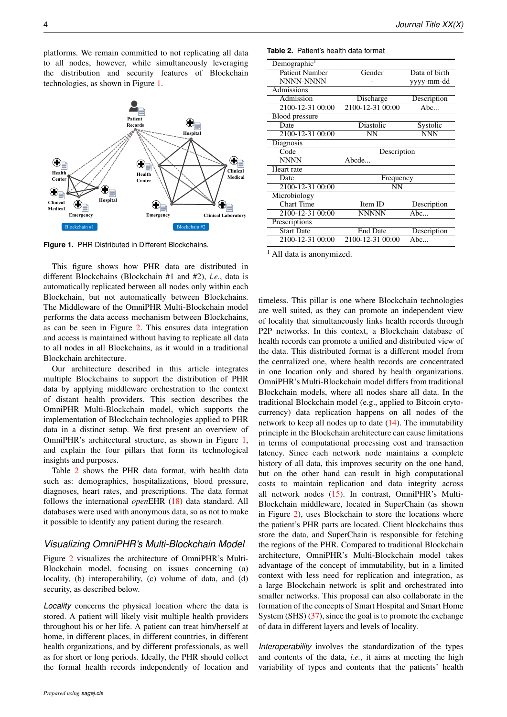<span id="page-3-0"></span>platforms. We remain committed to not replicating all data to all nodes, however, while simultaneously leveraging the distribution and security features of Blockchain technologies, as shown in Figure [1.](#page-3-0)

**Hospital**

 $\bigcirc$ 

Health **Health Medical** 

**Emergency Clinical Laboratory**

**Clinical**

 $\bigodot$ 

**Patient Records**

**Center**

 $\bigoplus_{i=1}^n A_i$ 

Œ



Blockchain #1 Blockchain #2

This figure shows how PHR data are distributed in different Blockchains (Blockchain #1 and #2), *i.e.*, data is automatically replicated between all nodes only within each Blockchain, but not automatically between Blockchains. The Middleware of the OmniPHR Multi-Blockchain model performs the data access mechanism between Blockchains, as can be seen in Figure [2.](#page-4-0) This ensures data integration and access is maintained without having to replicate all data to all nodes in all Blockchains, as it would in a traditional Blockchain architecture.

Our architecture described in this article integrates multiple Blockchains to support the distribution of PHR data by applying middleware orchestration to the context of distant health providers. This section describes the OmniPHR Multi-Blockchain model, which supports the implementation of Blockchain technologies applied to PHR data in a distinct setup. We first present an overview of OmniPHR's architectural structure, as shown in Figure [1,](#page-3-0) and explain the four pillars that form its technological insights and purposes.

Table [2](#page-3-1) shows the PHR data format, with health data such as: demographics, hospitalizations, blood pressure, diagnoses, heart rates, and prescriptions. The data format follows the international *open*EHR [\(18\)](#page-9-7) data standard. All databases were used with anonymous data, so as not to make it possible to identify any patient during the research.

### *Visualizing OmniPHR's Multi-Blockchain Model*

Figure [2](#page-4-0) visualizes the architecture of OmniPHR's Multi-Blockchain model, focusing on issues concerning (a) locality, (b) interoperability, (c) volume of data, and (d) security, as described below.

*Locality* concerns the physical location where the data is stored. A patient will likely visit multiple health providers throughout his or her life. A patient can treat him/herself at home, in different places, in different countries, in different health organizations, and by different professionals, as well as for short or long periods. Ideally, the PHR should collect the formal health records independently of location and

<span id="page-3-1"></span>

| Table 2. Patient's health data format |
|---------------------------------------|
|                                       |

| Demographic <sup>1</sup> |                  |                         |  |  |  |  |
|--------------------------|------------------|-------------------------|--|--|--|--|
| <b>Patient Number</b>    | Gender           | Data of birth           |  |  |  |  |
| <b>NNNN-NNNN</b>         |                  | yyyy-mm-dd              |  |  |  |  |
| Admissions               |                  |                         |  |  |  |  |
| Admission                | Discharge        | Description             |  |  |  |  |
| 2100-12-31 00:00         | 2100-12-31 00:00 | $\overline{\text{Abc}}$ |  |  |  |  |
| <b>Blood pressure</b>    |                  |                         |  |  |  |  |
| Date                     | Diastolic        | Systolic                |  |  |  |  |
| 2100-12-31 00:00         | <b>NN</b>        | <b>NNN</b>              |  |  |  |  |
| Diagnosis                |                  |                         |  |  |  |  |
| Code                     | Description      |                         |  |  |  |  |
| <b>NNNN</b>              | Abcde            |                         |  |  |  |  |
| Heart rate               |                  |                         |  |  |  |  |
| Date                     | Frequency        |                         |  |  |  |  |
| 2100-12-31 00:00         | NN               |                         |  |  |  |  |
| Microbiology             |                  |                         |  |  |  |  |
| <b>Chart Time</b>        | Item ID          | Description             |  |  |  |  |
| 2100-12-31 00:00         | NNNNN            | Abc                     |  |  |  |  |
| Prescriptions            |                  |                         |  |  |  |  |
| <b>Start Date</b>        | <b>End Date</b>  | Description             |  |  |  |  |
| 2100-12-31 00:00         | 2100-12-31 00:00 | Abc                     |  |  |  |  |

 $<sup>1</sup>$  All data is anonymized.</sup>

timeless. This pillar is one where Blockchain technologies are well suited, as they can promote an independent view of locality that simultaneously links health records through P2P networks. In this context, a Blockchain database of health records can promote a unified and distributed view of the data. This distributed format is a different model from the centralized one, where health records are concentrated in one location only and shared by health organizations. OmniPHR's Multi-Blockchain model differs from traditional Blockchain models, where all nodes share all data. In the traditional Blockchain model (e.g., applied to Bitcoin crytocurrency) data replication happens on all nodes of the network to keep all nodes up to date [\(14\)](#page-9-3). The immutability principle in the Blockchain architecture can cause limitations in terms of computational processing cost and transaction latency. Since each network node maintains a complete history of all data, this improves security on the one hand, but on the other hand can result in high computational costs to maintain replication and data integrity across all network nodes [\(15\)](#page-9-4). In contrast, OmniPHR's Multi-Blockchain middleware, located in SuperChain (as shown in Figure [2\)](#page-4-0), uses Blockchain to store the locations where the patient's PHR parts are located. Client blockchains thus store the data, and SuperChain is responsible for fetching the regions of the PHR. Compared to traditional Blockchain architecture, OmniPHR's Multi-Blockchain model takes advantage of the concept of immutability, but in a limited context with less need for replication and integration, as a large Blockchain network is split and orchestrated into smaller networks. This proposal can also collaborate in the formation of the concepts of Smart Hospital and Smart Home System (SHS)  $(37)$ , since the goal is to promote the exchange of data in different layers and levels of locality.

*Interoperability* involves the standardization of the types and contents of the data, *i.e.*, it aims at meeting the high variability of types and contents that the patients' health

**Health** Cente

 $\bigoplus$ 

**Medical**

 $\bigoplus$ 

 $\overline{\text{Clinical}}$   $\overline{\text{A}}$  Ho

**Emergency**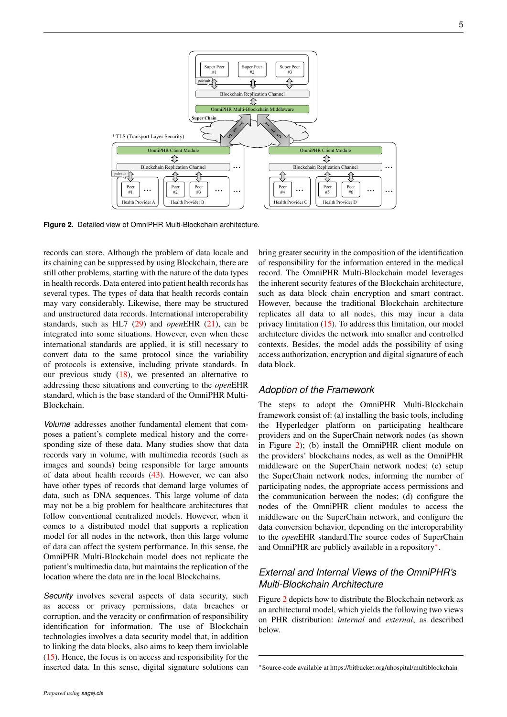<span id="page-4-0"></span>

**Figure 2.** Detailed view of OmniPHR Multi-Blockchain architecture.

records can store. Although the problem of data locale and its chaining can be suppressed by using Blockchain, there are still other problems, starting with the nature of the data types in health records. Data entered into patient health records has several types. The types of data that health records contain may vary considerably. Likewise, there may be structured and unstructured data records. International interoperability standards, such as HL7 [\(29\)](#page-9-18) and *open*EHR [\(21\)](#page-9-10), can be integrated into some situations. However, even when these international standards are applied, it is still necessary to convert data to the same protocol since the variability of protocols is extensive, including private standards. In our previous study  $(18)$ , we presented an alternative to addressing these situations and converting to the *open*EHR standard, which is the base standard of the OmniPHR Multi-Blockchain.

*Volume* addresses another fundamental element that composes a patient's complete medical history and the corresponding size of these data. Many studies show that data records vary in volume, with multimedia records (such as images and sounds) being responsible for large amounts of data about health records [\(43\)](#page-10-0). However, we can also have other types of records that demand large volumes of data, such as DNA sequences. This large volume of data may not be a big problem for healthcare architectures that follow conventional centralized models. However, when it comes to a distributed model that supports a replication model for all nodes in the network, then this large volume of data can affect the system performance. In this sense, the OmniPHR Multi-Blockchain model does not replicate the patient's multimedia data, but maintains the replication of the location where the data are in the local Blockchains.

*Security* involves several aspects of data security, such as access or privacy permissions, data breaches or corruption, and the veracity or confirmation of responsibility identification for information. The use of Blockchain technologies involves a data security model that, in addition to linking the data blocks, also aims to keep them inviolable [\(15\)](#page-9-4). Hence, the focus is on access and responsibility for the inserted data. In this sense, digital signature solutions can

bring greater security in the composition of the identification of responsibility for the information entered in the medical record. The OmniPHR Multi-Blockchain model leverages the inherent security features of the Blockchain architecture, such as data block chain encryption and smart contract. However, because the traditional Blockchain architecture replicates all data to all nodes, this may incur a data privacy limitation [\(15\)](#page-9-4). To address this limitation, our model architecture divides the network into smaller and controlled contexts. Besides, the model adds the possibility of using access authorization, encryption and digital signature of each data block.

### *Adoption of the Framework*

The steps to adopt the OmniPHR Multi-Blockchain framework consist of: (a) installing the basic tools, including the Hyperledger platform on participating healthcare providers and on the SuperChain network nodes (as shown in Figure [2\)](#page-4-0); (b) install the OmniPHR client module on the providers' blockchains nodes, as well as the OmniPHR middleware on the SuperChain network nodes; (c) setup the SuperChain network nodes, informing the number of participating nodes, the appropriate access permissions and the communication between the nodes; (d) configure the nodes of the OmniPHR client modules to access the middleware on the SuperChain network, and configure the data conversion behavior, depending on the interoperability to the *open*EHR standard.The source codes of SuperChain and OmniPHR are publicly available in a repository[∗](#page-4-1) .

# *External and Internal Views of the OmniPHR's Multi-Blockchain Architecture*

Figure [2](#page-4-0) depicts how to distribute the Blockchain network as an architectural model, which yields the following two views on PHR distribution: *internal* and *external*, as described below.

<span id="page-4-1"></span><sup>∗</sup>Source-code available at https://bitbucket.org/uhospital/multiblockchain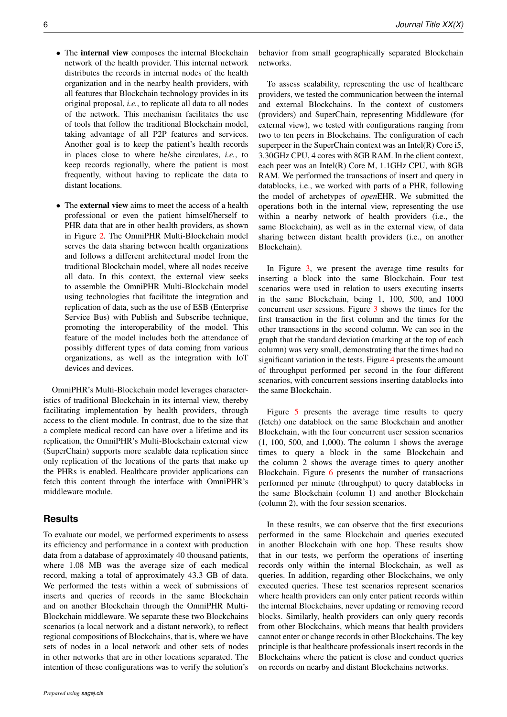- The internal view composes the internal Blockchain network of the health provider. This internal network distributes the records in internal nodes of the health organization and in the nearby health providers, with all features that Blockchain technology provides in its original proposal, *i.e.*, to replicate all data to all nodes of the network. This mechanism facilitates the use of tools that follow the traditional Blockchain model, taking advantage of all P2P features and services. Another goal is to keep the patient's health records in places close to where he/she circulates, *i.e.*, to keep records regionally, where the patient is most frequently, without having to replicate the data to distant locations.
- The **external view** aims to meet the access of a health professional or even the patient himself/herself to PHR data that are in other health providers, as shown in Figure [2.](#page-4-0) The OmniPHR Multi-Blockchain model serves the data sharing between health organizations and follows a different architectural model from the traditional Blockchain model, where all nodes receive all data. In this context, the external view seeks to assemble the OmniPHR Multi-Blockchain model using technologies that facilitate the integration and replication of data, such as the use of ESB (Enterprise Service Bus) with Publish and Subscribe technique, promoting the interoperability of the model. This feature of the model includes both the attendance of possibly different types of data coming from various organizations, as well as the integration with IoT devices and devices.

OmniPHR's Multi-Blockchain model leverages characteristics of traditional Blockchain in its internal view, thereby facilitating implementation by health providers, through access to the client module. In contrast, due to the size that a complete medical record can have over a lifetime and its replication, the OmniPHR's Multi-Blockchain external view (SuperChain) supports more scalable data replication since only replication of the locations of the parts that make up the PHRs is enabled. Healthcare provider applications can fetch this content through the interface with OmniPHR's middleware module.

### <span id="page-5-0"></span>**Results**

To evaluate our model, we performed experiments to assess its efficiency and performance in a context with production data from a database of approximately 40 thousand patients, where 1.08 MB was the average size of each medical record, making a total of approximately 43.3 GB of data. We performed the tests within a week of submissions of inserts and queries of records in the same Blockchain and on another Blockchain through the OmniPHR Multi-Blockchain middleware. We separate these two Blockchains scenarios (a local network and a distant network), to reflect regional compositions of Blockchains, that is, where we have sets of nodes in a local network and other sets of nodes in other networks that are in other locations separated. The intention of these configurations was to verify the solution's

behavior from small geographically separated Blockchain networks.

To assess scalability, representing the use of healthcare providers, we tested the communication between the internal and external Blockchains. In the context of customers (providers) and SuperChain, representing Middleware (for external view), we tested with configurations ranging from two to ten peers in Blockchains. The configuration of each superpeer in the SuperChain context was an Intel(R) Core i5, 3.30GHz CPU, 4 cores with 8GB RAM. In the client context, each peer was an Intel(R) Core M, 1.1GHz CPU, with 8GB RAM. We performed the transactions of insert and query in datablocks, i.e., we worked with parts of a PHR, following the model of archetypes of *open*EHR. We submitted the operations both in the internal view, representing the use within a nearby network of health providers (i.e., the same Blockchain), as well as in the external view, of data sharing between distant health providers (i.e., on another Blockchain).

In Figure [3,](#page-6-0) we present the average time results for inserting a block into the same Blockchain. Four test scenarios were used in relation to users executing inserts in the same Blockchain, being 1, 100, 500, and 1000 concurrent user sessions. Figure [3](#page-6-0) shows the times for the first transaction in the first column and the times for the other transactions in the second column. We can see in the graph that the standard deviation (marking at the top of each column) was very small, demonstrating that the times had no significant variation in the tests. Figure [4](#page-6-1) presents the amount of throughput performed per second in the four different scenarios, with concurrent sessions inserting datablocks into the same Blockchain.

Figure [5](#page-6-2) presents the average time results to query (fetch) one datablock on the same Blockchain and another Blockchain, with the four concurrent user session scenarios (1, 100, 500, and 1,000). The column 1 shows the average times to query a block in the same Blockchain and the column 2 shows the average times to query another Blockchain. Figure [6](#page-7-1) presents the number of transactions performed per minute (throughput) to query datablocks in the same Blockchain (column 1) and another Blockchain (column 2), with the four session scenarios.

In these results, we can observe that the first executions performed in the same Blockchain and queries executed in another Blockchain with one hop. These results show that in our tests, we perform the operations of inserting records only within the internal Blockchain, as well as queries. In addition, regarding other Blockchains, we only executed queries. These test scenarios represent scenarios where health providers can only enter patient records within the internal Blockchains, never updating or removing record blocks. Similarly, health providers can only query records from other Blockchains, which means that health providers cannot enter or change records in other Blockchains. The key principle is that healthcare professionals insert records in the Blockchains where the patient is close and conduct queries on records on nearby and distant Blockchains networks.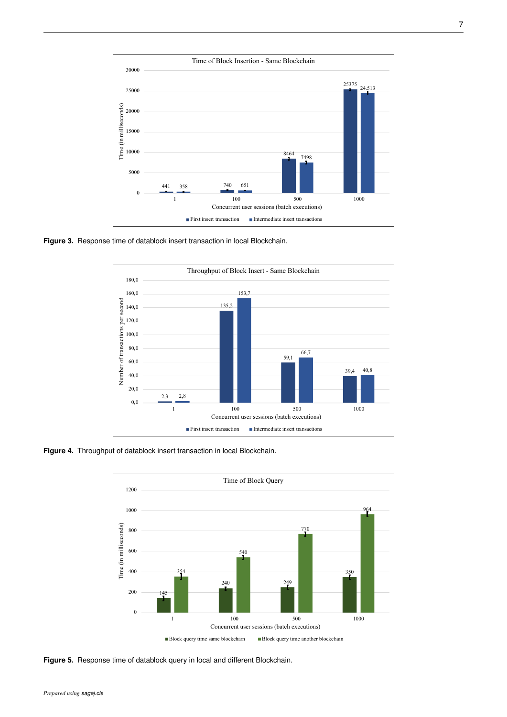<span id="page-6-0"></span>

<span id="page-6-1"></span>**Figure 3.** Response time of datablock insert transaction in local Blockchain.



<span id="page-6-2"></span>**Figure 4.** Throughput of datablock insert transaction in local Blockchain.



**Figure 5.** Response time of datablock query in local and different Blockchain.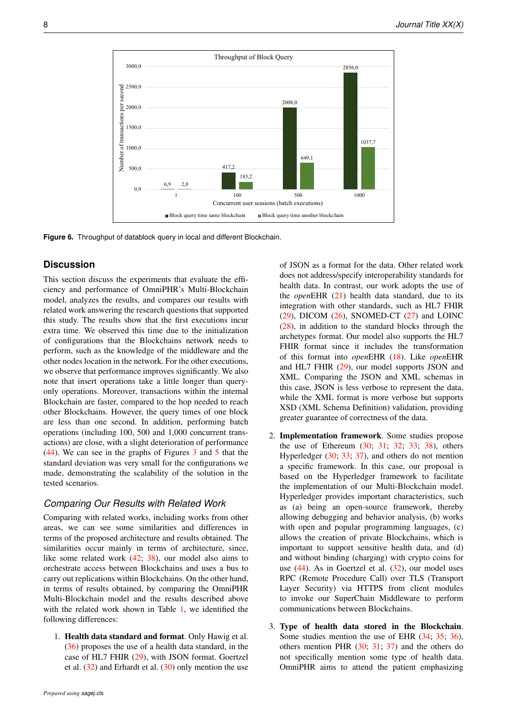<span id="page-7-1"></span>

**Figure 6.** Throughput of datablock query in local and different Blockchain.

### <span id="page-7-0"></span>**Discussion**

This section discuss the experiments that evaluate the efficiency and performance of OmniPHR's Multi-Blockchain model, analyzes the results, and compares our results with related work answering the research questions that supported this study. The results show that the first executions incur extra time. We observed this time due to the initialization of configurations that the Blockchains network needs to perform, such as the knowledge of the middleware and the other nodes location in the network. For the other executions, we observe that performance improves significantly. We also note that insert operations take a little longer than queryonly operations. Moreover, transactions within the internal Blockchain are faster, compared to the hop needed to reach other Blockchains. However, the query times of one block are less than one second. In addition, performing batch operations (including 100, 500 and 1,000 concurrent transactions) are close, with a slight deterioration of performance [\(44\)](#page-10-1). We can see in the graphs of Figures [3](#page-6-0) and [5](#page-6-2) that the standard deviation was very small for the configurations we made, demonstrating the scalability of the solution in the tested scenarios.

### *Comparing Our Results with Related Work*

Comparing with related works, including works from other areas, we can see some similarities and differences in terms of the proposed architecture and results obtained. The similarities occur mainly in terms of architecture, since, like some related work [\(42;](#page-9-31) [38\)](#page-9-30), our model also aims to orchestrate access between Blockchains and uses a bus to carry out replications within Blockchains. On the other hand, in terms of results obtained, by comparing the OmniPHR Multi-Blockchain model and the results described above with the related work shown in Table [1,](#page-2-2) we identified the following differences:

1. Health data standard and format. Only Hawig et al. [\(36\)](#page-9-28) proposes the use of a health data standard, in the case of HL7 FHIR [\(29\)](#page-9-18), with JSON format. Goertzel et al.  $(32)$  and Erhardt et al.  $(30)$  only mention the use

of JSON as a format for the data. Other related work does not address/specify interoperability standards for health data. In contrast, our work adopts the use of the *open*EHR [\(21\)](#page-9-10) health data standard, due to its integration with other standards, such as HL7 FHIR  $(29)$ , DICOM  $(26)$ , SNOMED-CT  $(27)$  and LOINC [\(28\)](#page-9-17), in addition to the standard blocks through the archetypes format. Our model also supports the HL7 FHIR format since it includes the transformation of this format into *open*EHR [\(18\)](#page-9-7). Like *open*EHR and HL7 FHIR [\(29\)](#page-9-18), our model supports JSON and XML. Comparing the JSON and XML schemas in this case, JSON is less verbose to represent the data, while the XML format is more verbose but supports XSD (XML Schema Definition) validation, providing greater guarantee of correctness of the data.

- 2. Implementation framework. Some studies propose the use of Ethereum [\(30;](#page-9-22) [31;](#page-9-23) [32;](#page-9-24) [33;](#page-9-25) [38\)](#page-9-30), others Hyperledger [\(30;](#page-9-22) [33;](#page-9-25) [37\)](#page-9-29), and others do not mention a specific framework. In this case, our proposal is based on the Hyperledger framework to facilitate the implementation of our Multi-Blockchain model. Hyperledger provides important characteristics, such as (a) being an open-source framework, thereby allowing debugging and behavior analysis, (b) works with open and popular programming languages, (c) allows the creation of private Blockchains, which is important to support sensitive health data, and (d) and without binding (charging) with crypto coins for use  $(44)$ . As in Goertzel et al.  $(32)$ , our model uses RPC (Remote Procedure Call) over TLS (Transport Layer Security) via HTTPS from client modules to invoke our SuperChain Middleware to perform communications between Blockchains.
- 3. Type of health data stored in the Blockchain. Some studies mention the use of EHR [\(34;](#page-9-26) [35;](#page-9-27) [36\)](#page-9-28), others mention PHR [\(30;](#page-9-22) [31;](#page-9-23) [37\)](#page-9-29) and the others do not specifically mention some type of health data. OmniPHR aims to attend the patient emphasizing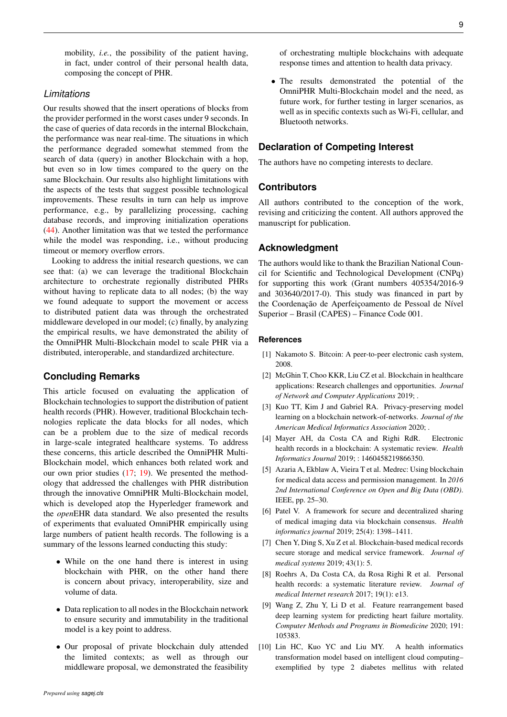mobility, *i.e.*, the possibility of the patient having, in fact, under control of their personal health data, composing the concept of PHR.

### *Limitations*

Our results showed that the insert operations of blocks from the provider performed in the worst cases under 9 seconds. In the case of queries of data records in the internal Blockchain, the performance was near real-time. The situations in which the performance degraded somewhat stemmed from the search of data (query) in another Blockchain with a hop, but even so in low times compared to the query on the same Blockchain. Our results also highlight limitations with the aspects of the tests that suggest possible technological improvements. These results in turn can help us improve performance, e.g., by parallelizing processing, caching database records, and improving initialization operations [\(44\)](#page-10-1). Another limitation was that we tested the performance while the model was responding, i.e., without producing timeout or memory overflow errors.

Looking to address the initial research questions, we can see that: (a) we can leverage the traditional Blockchain architecture to orchestrate regionally distributed PHRs without having to replicate data to all nodes; (b) the way we found adequate to support the movement or access to distributed patient data was through the orchestrated middleware developed in our model; (c) finally, by analyzing the empirical results, we have demonstrated the ability of the OmniPHR Multi-Blockchain model to scale PHR via a distributed, interoperable, and standardized architecture.

### <span id="page-8-11"></span>**Concluding Remarks**

This article focused on evaluating the application of Blockchain technologies to support the distribution of patient health records (PHR). However, traditional Blockchain technologies replicate the data blocks for all nodes, which can be a problem due to the size of medical records in large-scale integrated healthcare systems. To address these concerns, this article described the OmniPHR Multi-Blockchain model, which enhances both related work and our own prior studies [\(17;](#page-9-6) [19\)](#page-9-8). We presented the methodology that addressed the challenges with PHR distribution through the innovative OmniPHR Multi-Blockchain model, which is developed atop the Hyperledger framework and the *open*EHR data standard. We also presented the results of experiments that evaluated OmniPHR empirically using large numbers of patient health records. The following is a summary of the lessons learned conducting this study:

- While on the one hand there is interest in using blockchain with PHR, on the other hand there is concern about privacy, interoperability, size and volume of data.
- Data replication to all nodes in the Blockchain network to ensure security and immutability in the traditional model is a key point to address.
- Our proposal of private blockchain duly attended the limited contexts; as well as through our middleware proposal, we demonstrated the feasibility

of orchestrating multiple blockchains with adequate response times and attention to health data privacy.

• The results demonstrated the potential of the OmniPHR Multi-Blockchain model and the need, as future work, for further testing in larger scenarios, as well as in specific contexts such as Wi-Fi, cellular, and Bluetooth networks.

### **Declaration of Competing Interest**

The authors have no competing interests to declare.

### **Contributors**

All authors contributed to the conception of the work, revising and criticizing the content. All authors approved the manuscript for publication.

### **Acknowledgment**

The authors would like to thank the Brazilian National Council for Scientific and Technological Development (CNPq) for supporting this work (Grant numbers 405354/2016-9 and 303640/2017-0). This study was financed in part by the Coordenação de Aperfeicoamento de Pessoal de Nível Superior – Brasil (CAPES) – Finance Code 001.

#### <span id="page-8-0"></span>**References**

- <span id="page-8-1"></span>[1] Nakamoto S. Bitcoin: A peer-to-peer electronic cash system, 2008.
- <span id="page-8-2"></span>[2] McGhin T, Choo KKR, Liu CZ et al. Blockchain in healthcare applications: Research challenges and opportunities. *Journal of Network and Computer Applications* 2019; .
- <span id="page-8-3"></span>[3] Kuo TT, Kim J and Gabriel RA. Privacy-preserving model learning on a blockchain network-of-networks. *Journal of the American Medical Informatics Association* 2020; .
- <span id="page-8-4"></span>[4] Mayer AH, da Costa CA and Righi RdR. Electronic health records in a blockchain: A systematic review. *Health Informatics Journal* 2019; : 1460458219866350.
- <span id="page-8-5"></span>[5] Azaria A, Ekblaw A, Vieira T et al. Medrec: Using blockchain for medical data access and permission management. In *2016 2nd International Conference on Open and Big Data (OBD)*. IEEE, pp. 25–30.
- <span id="page-8-6"></span>[6] Patel V. A framework for secure and decentralized sharing of medical imaging data via blockchain consensus. *Health informatics journal* 2019; 25(4): 1398–1411.
- <span id="page-8-7"></span>[7] Chen Y, Ding S, Xu Z et al. Blockchain-based medical records secure storage and medical service framework. *Journal of medical systems* 2019; 43(1): 5.
- <span id="page-8-8"></span>[8] Roehrs A, Da Costa CA, da Rosa Righi R et al. Personal health records: a systematic literature review. *Journal of medical Internet research* 2017; 19(1): e13.
- <span id="page-8-9"></span>[9] Wang Z, Zhu Y, Li D et al. Feature rearrangement based deep learning system for predicting heart failure mortality. *Computer Methods and Programs in Biomedicine* 2020; 191: 105383.
- <span id="page-8-10"></span>[10] Lin HC, Kuo YC and Liu MY. A health informatics transformation model based on intelligent cloud computing– exemplified by type 2 diabetes mellitus with related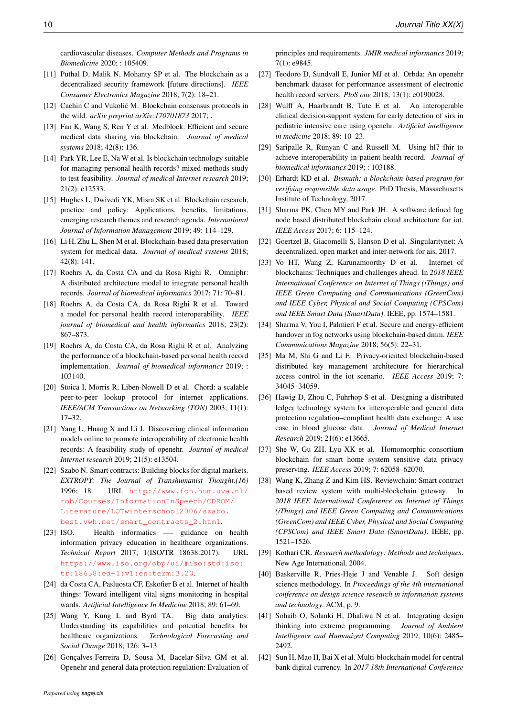cardiovascular diseases. *Computer Methods and Programs in Biomedicine* 2020; : 105409.

- <span id="page-9-0"></span>[11] Puthal D, Malik N, Mohanty SP et al. The blockchain as a decentralized security framework [future directions]. *IEEE Consumer Electronics Magazine* 2018; 7(2): 18–21.
- <span id="page-9-1"></span>[12] Cachin C and Vukolić M. Blockchain consensus protocols in the wild. *arXiv preprint arXiv:170701873* 2017; .
- <span id="page-9-2"></span>[13] Fan K, Wang S, Ren Y et al. Medblock: Efficient and secure medical data sharing via blockchain. *Journal of medical systems* 2018; 42(8): 136.
- <span id="page-9-3"></span>[14] Park YR, Lee E, Na W et al. Is blockchain technology suitable for managing personal health records? mixed-methods study to test feasibility. *Journal of medical Internet research* 2019; 21(2): e12533.
- <span id="page-9-4"></span>[15] Hughes L, Dwivedi YK, Misra SK et al. Blockchain research, practice and policy: Applications, benefits, limitations, emerging research themes and research agenda. *International Journal of Information Management* 2019; 49: 114–129.
- <span id="page-9-5"></span>[16] Li H, Zhu L, Shen M et al. Blockchain-based data preservation system for medical data. *Journal of medical systems* 2018; 42(8): 141.
- <span id="page-9-6"></span>[17] Roehrs A, da Costa CA and da Rosa Righi R. Omniphr: A distributed architecture model to integrate personal health records. *Journal of biomedical informatics* 2017; 71: 70–81.
- <span id="page-9-7"></span>[18] Roehrs A, da Costa CA, da Rosa Righi R et al. Toward a model for personal health record interoperability. *IEEE journal of biomedical and health informatics* 2018; 23(2): 867–873.
- <span id="page-9-8"></span>[19] Roehrs A, da Costa CA, da Rosa Righi R et al. Analyzing the performance of a blockchain-based personal health record implementation. *Journal of biomedical informatics* 2019; : 103140.
- <span id="page-9-9"></span>[20] Stoica I, Morris R, Liben-Nowell D et al. Chord: a scalable peer-to-peer lookup protocol for internet applications. *IEEE/ACM Transactions on Networking (TON)* 2003; 11(1): 17–32.
- <span id="page-9-10"></span>[21] Yang L, Huang X and Li J. Discovering clinical information models online to promote interoperability of electronic health records: A feasibility study of openehr. *Journal of medical Internet research* 2019; 21(5): e13504.
- <span id="page-9-11"></span>[22] Szabo N. Smart contracts: Building blocks for digital markets. *EXTROPY: The Journal of Transhumanist Thought,(16)* 1996; 18. URL [http://www.fon.hum.uva.nl/](http://www.fon.hum.uva.nl/rob/Courses/InformationInSpeech/CDROM/Literature/LOTwinterschool2006/szabo.best.vwh.net/smart_contracts_2.html) [rob/Courses/InformationInSpeech/CDROM/](http://www.fon.hum.uva.nl/rob/Courses/InformationInSpeech/CDROM/Literature/LOTwinterschool2006/szabo.best.vwh.net/smart_contracts_2.html) [Literature/LOTwinterschool2006/szabo.](http://www.fon.hum.uva.nl/rob/Courses/InformationInSpeech/CDROM/Literature/LOTwinterschool2006/szabo.best.vwh.net/smart_contracts_2.html) [best.vwh.net/smart\\_contracts\\_2.html](http://www.fon.hum.uva.nl/rob/Courses/InformationInSpeech/CDROM/Literature/LOTwinterschool2006/szabo.best.vwh.net/smart_contracts_2.html).
- <span id="page-9-12"></span>[23] ISO. Health informatics — guidance on health information privacy education in healthcare organizations. *Technical Report* 2017; 1(ISO/TR 18638:2017). URL [https://www.iso.org/obp/ui/#iso:std:iso:](https://www.iso.org/obp/ui/#iso:std:iso:tr:18638:ed-1:v1:en:term:3.20) [tr:18638:ed-1:v1:en:term:3.20](https://www.iso.org/obp/ui/#iso:std:iso:tr:18638:ed-1:v1:en:term:3.20).
- <span id="page-9-13"></span>[24] da Costa CA, Pasluosta CF, Eskofier B et al. Internet of health things: Toward intelligent vital signs monitoring in hospital wards. *Artificial Intelligence In Medicine* 2018; 89: 61–69.
- <span id="page-9-14"></span>[25] Wang Y, Kung L and Byrd TA. Big data analytics: Understanding its capabilities and potential benefits for healthcare organizations. *Technological Forecasting and Social Change* 2018; 126: 3–13.
- <span id="page-9-15"></span>[26] Gonçalves-Ferreira D, Sousa M, Bacelar-Silva GM et al. Openehr and general data protection regulation: Evaluation of

principles and requirements. *JMIR medical informatics* 2019; 7(1): e9845.

- <span id="page-9-16"></span>[27] Teodoro D, Sundvall E, Junior MJ et al. Orbda: An openehr benchmark dataset for performance assessment of electronic health record servers. *PloS one* 2018; 13(1): e0190028.
- <span id="page-9-17"></span>[28] Wulff A, Haarbrandt B, Tute E et al. An interoperable clinical decision-support system for early detection of sirs in pediatric intensive care using openehr. *Artificial intelligence in medicine* 2018; 89: 10–23.
- <span id="page-9-18"></span>[29] Saripalle R, Runyan C and Russell M. Using hl7 fhir to achieve interoperability in patient health record. *Journal of biomedical informatics* 2019; : 103188.
- <span id="page-9-22"></span>[30] Erhardt KD et al. *Bismuth: a blockchain-based program for verifying responsible data usage*. PhD Thesis, Massachusetts Institute of Technology, 2017.
- <span id="page-9-23"></span>[31] Sharma PK, Chen MY and Park JH. A software defined fog node based distributed blockchain cloud architecture for iot. *IEEE Access* 2017; 6: 115–124.
- <span id="page-9-24"></span>[32] Goertzel B, Giacomelli S, Hanson D et al. Singularitynet: A decentralized, open market and inter-network for ais, 2017.
- <span id="page-9-25"></span>[33] Vo HT, Wang Z, Karunamoorthy D et al. Internet of blockchains: Techniques and challenges ahead. In *2018 IEEE International Conference on Internet of Things (iThings) and IEEE Green Computing and Communications (GreenCom) and IEEE Cyber, Physical and Social Computing (CPSCom) and IEEE Smart Data (SmartData)*. IEEE, pp. 1574–1581.
- <span id="page-9-26"></span>[34] Sharma V, You I, Palmieri F et al. Secure and energy-efficient handover in fog networks using blockchain-based dmm. *IEEE Communications Magazine* 2018; 56(5): 22–31.
- <span id="page-9-27"></span>[35] Ma M, Shi G and Li F. Privacy-oriented blockchain-based distributed key management architecture for hierarchical access control in the iot scenario. *IEEE Access* 2019; 7: 34045–34059.
- <span id="page-9-28"></span>[36] Hawig D, Zhou C, Fuhrhop S et al. Designing a distributed ledger technology system for interoperable and general data protection regulation–compliant health data exchange: A use case in blood glucose data. *Journal of Medical Internet Research* 2019; 21(6): e13665.
- <span id="page-9-29"></span>[37] She W, Gu ZH, Lyu XK et al. Homomorphic consortium blockchain for smart home system sensitive data privacy preserving. *IEEE Access* 2019; 7: 62058–62070.
- <span id="page-9-30"></span>[38] Wang K, Zhang Z and Kim HS. Reviewchain: Smart contract based review system with multi-blockchain gateway. In *2018 IEEE International Conference on Internet of Things (iThings) and IEEE Green Computing and Communications (GreenCom) and IEEE Cyber, Physical and Social Computing (CPSCom) and IEEE Smart Data (SmartData)*. IEEE, pp. 1521–1526.
- <span id="page-9-19"></span>[39] Kothari CR. *Research methodology: Methods and techniques*. New Age International, 2004.
- <span id="page-9-20"></span>[40] Baskerville R, Pries-Heje J and Venable J. Soft design science methodology. In *Proceedings of the 4th international conference on design science research in information systems and technology*. ACM, p. 9.
- <span id="page-9-21"></span>[41] Sohaib O, Solanki H, Dhaliwa N et al. Integrating design thinking into extreme programming. *Journal of Ambient Intelligence and Humanized Computing* 2019; 10(6): 2485– 2492.
- <span id="page-9-31"></span>[42] Sun H, Mao H, Bai X et al. Multi-blockchain model for central bank digital currency. In *2017 18th International Conference*